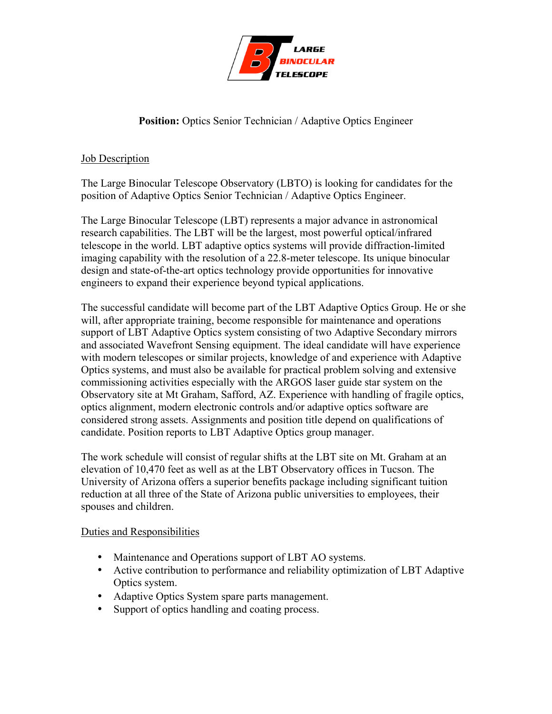

# **Position:** Optics Senior Technician / Adaptive Optics Engineer

## Job Description

The Large Binocular Telescope Observatory (LBTO) is looking for candidates for the position of Adaptive Optics Senior Technician / Adaptive Optics Engineer.

The Large Binocular Telescope (LBT) represents a major advance in astronomical research capabilities. The LBT will be the largest, most powerful optical/infrared telescope in the world. LBT adaptive optics systems will provide diffraction-limited imaging capability with the resolution of a 22.8-meter telescope. Its unique binocular design and state-of-the-art optics technology provide opportunities for innovative engineers to expand their experience beyond typical applications.

The successful candidate will become part of the LBT Adaptive Optics Group. He or she will, after appropriate training, become responsible for maintenance and operations support of LBT Adaptive Optics system consisting of two Adaptive Secondary mirrors and associated Wavefront Sensing equipment. The ideal candidate will have experience with modern telescopes or similar projects, knowledge of and experience with Adaptive Optics systems, and must also be available for practical problem solving and extensive commissioning activities especially with the ARGOS laser guide star system on the Observatory site at Mt Graham, Safford, AZ. Experience with handling of fragile optics, optics alignment, modern electronic controls and/or adaptive optics software are considered strong assets. Assignments and position title depend on qualifications of candidate. Position reports to LBT Adaptive Optics group manager.

The work schedule will consist of regular shifts at the LBT site on Mt. Graham at an elevation of 10,470 feet as well as at the LBT Observatory offices in Tucson. The University of Arizona offers a superior benefits package including significant tuition reduction at all three of the State of Arizona public universities to employees, their spouses and children.

## Duties and Responsibilities

- Maintenance and Operations support of LBT AO systems.
- Active contribution to performance and reliability optimization of LBT Adaptive Optics system.
- Adaptive Optics System spare parts management.
- Support of optics handling and coating process.